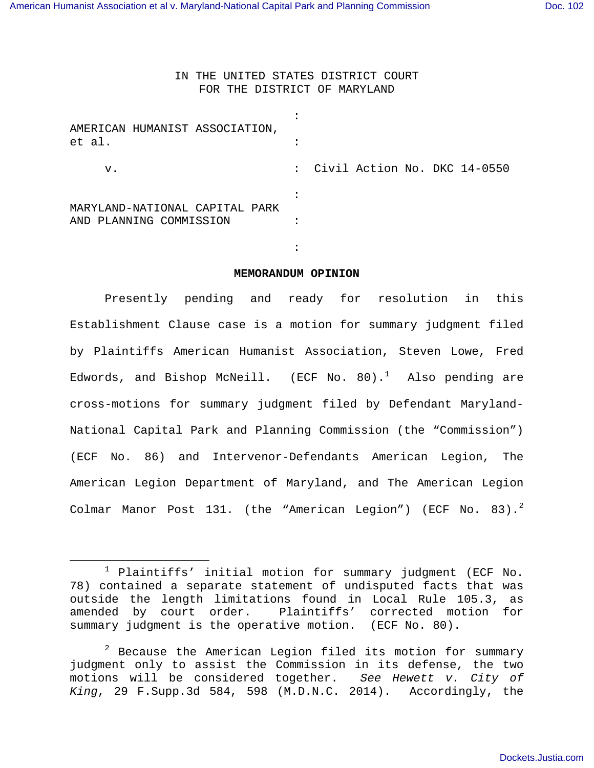the contract of the contract of the contract of the contract of the contract of the contract of the contract of

 $\overline{\phantom{0}}$ 

IN THE UNITED STATES DISTRICT COURT FOR THE DISTRICT OF MARYLAND

| AMERICAN HUMANIST ASSOCIATION,<br>et al.                  |                                |
|-----------------------------------------------------------|--------------------------------|
| v.                                                        | : Civil Action No. DKC 14-0550 |
|                                                           |                                |
| MARYLAND-NATIONAL CAPITAL PARK<br>AND PLANNING COMMISSION |                                |

**MEMORANDUM OPINION** 

 Presently pending and ready for resolution in this Establishment Clause case is a motion for summary judgment filed by Plaintiffs American Humanist Association, Steven Lowe, Fred Edwords, and Bishop McNeill. (ECF No. 80).<sup>1</sup> Also pending are cross-motions for summary judgment filed by Defendant Maryland-National Capital Park and Planning Commission (the "Commission") (ECF No. 86) and Intervenor-Defendants American Legion, The American Legion Department of Maryland, and The American Legion Colmar Manor Post 131. (the "American Legion") (ECF No.  $83)$ .<sup>2</sup>

 $1$  Plaintiffs' initial motion for summary judgment (ECF No. 78) contained a separate statement of undisputed facts that was outside the length limitations found in Local Rule 105.3, as amended by court order. Plaintiffs' corrected motion for summary judgment is the operative motion. (ECF No. 80).

 $2$  Because the American Legion filed its motion for summary judgment only to assist the Commission in its defense, the two motions will be considered together. See Hewett v. City of King, 29 F.Supp.3d 584, 598 (M.D.N.C. 2014). Accordingly, the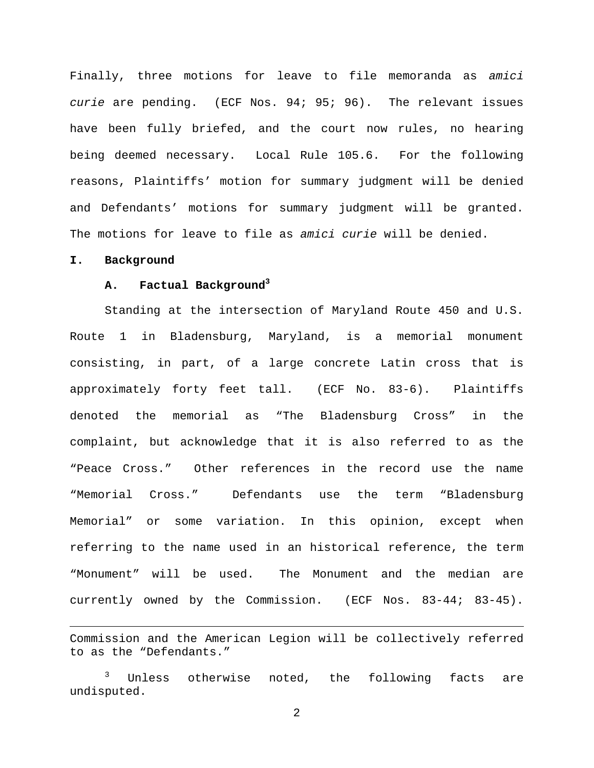Finally, three motions for leave to file memoranda as amici curie are pending. (ECF Nos. 94; 95; 96). The relevant issues have been fully briefed, and the court now rules, no hearing being deemed necessary. Local Rule 105.6. For the following reasons, Plaintiffs' motion for summary judgment will be denied and Defendants' motions for summary judgment will be granted. The motions for leave to file as amici curie will be denied.

#### **I. Background**

i

# **A. Factual Background<sup>3</sup>**

Standing at the intersection of Maryland Route 450 and U.S. Route 1 in Bladensburg, Maryland, is a memorial monument consisting, in part, of a large concrete Latin cross that is approximately forty feet tall. (ECF No. 83-6). Plaintiffs denoted the memorial as "The Bladensburg Cross" in the complaint, but acknowledge that it is also referred to as the "Peace Cross." Other references in the record use the name "Memorial Cross." Defendants use the term "Bladensburg Memorial" or some variation. In this opinion, except when referring to the name used in an historical reference, the term "Monument" will be used. The Monument and the median are currently owned by the Commission. (ECF Nos. 83-44; 83-45).

Commission and the American Legion will be collectively referred to as the "Defendants."

Unless otherwise noted, the following facts are undisputed.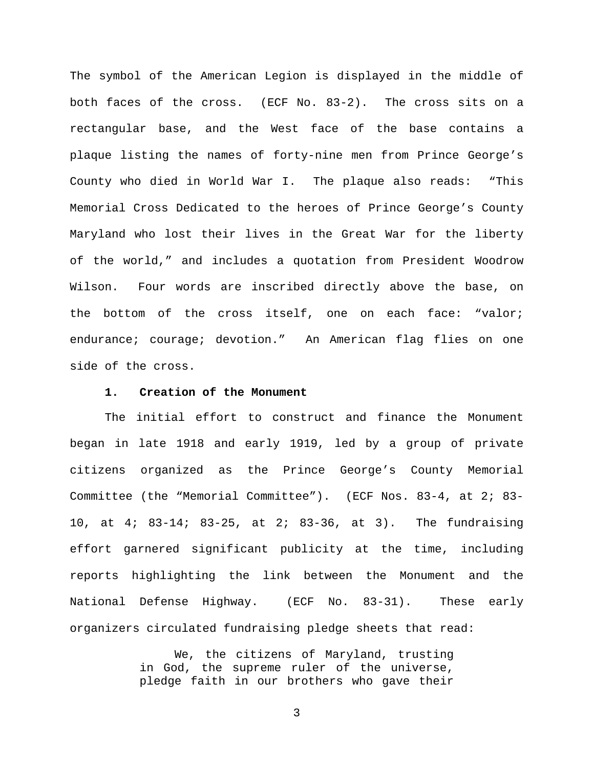The symbol of the American Legion is displayed in the middle of both faces of the cross. (ECF No. 83-2). The cross sits on a rectangular base, and the West face of the base contains a plaque listing the names of forty-nine men from Prince George's County who died in World War I. The plaque also reads: "This Memorial Cross Dedicated to the heroes of Prince George's County Maryland who lost their lives in the Great War for the liberty of the world," and includes a quotation from President Woodrow Wilson. Four words are inscribed directly above the base, on the bottom of the cross itself, one on each face: "valor; endurance; courage; devotion." An American flag flies on one side of the cross.

### **1. Creation of the Monument**

The initial effort to construct and finance the Monument began in late 1918 and early 1919, led by a group of private citizens organized as the Prince George's County Memorial Committee (the "Memorial Committee"). (ECF Nos. 83-4, at 2; 83- 10, at 4; 83-14; 83-25, at 2; 83-36, at 3). The fundraising effort garnered significant publicity at the time, including reports highlighting the link between the Monument and the National Defense Highway. (ECF No. 83-31). These early organizers circulated fundraising pledge sheets that read:

> We, the citizens of Maryland, trusting in God, the supreme ruler of the universe, pledge faith in our brothers who gave their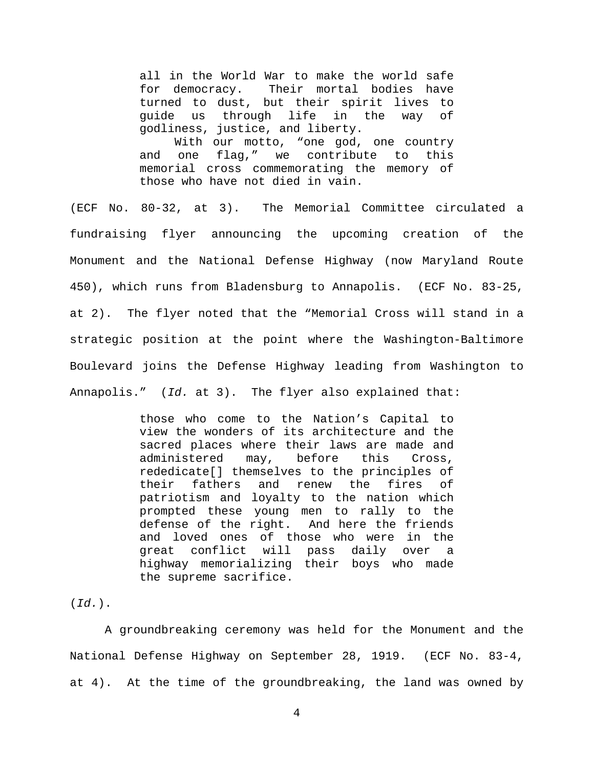all in the World War to make the world safe for democracy. Their mortal bodies have turned to dust, but their spirit lives to guide us through life in the way of godliness, justice, and liberty.

With our motto, "one god, one country and one flag," we contribute to this memorial cross commemorating the memory of those who have not died in vain.

(ECF No. 80-32, at 3). The Memorial Committee circulated a fundraising flyer announcing the upcoming creation of the Monument and the National Defense Highway (now Maryland Route 450), which runs from Bladensburg to Annapolis. (ECF No. 83-25, at 2). The flyer noted that the "Memorial Cross will stand in a strategic position at the point where the Washington-Baltimore Boulevard joins the Defense Highway leading from Washington to Annapolis." (Id. at 3). The flyer also explained that:

> those who come to the Nation's Capital to view the wonders of its architecture and the sacred places where their laws are made and administered may, before this Cross, rededicate[] themselves to the principles of their fathers and renew the fires of patriotism and loyalty to the nation which prompted these young men to rally to the defense of the right. And here the friends and loved ones of those who were in the great conflict will pass daily over a highway memorializing their boys who made the supreme sacrifice.

 $(\text{Id.})$ .

A groundbreaking ceremony was held for the Monument and the National Defense Highway on September 28, 1919. (ECF No. 83-4, at 4). At the time of the groundbreaking, the land was owned by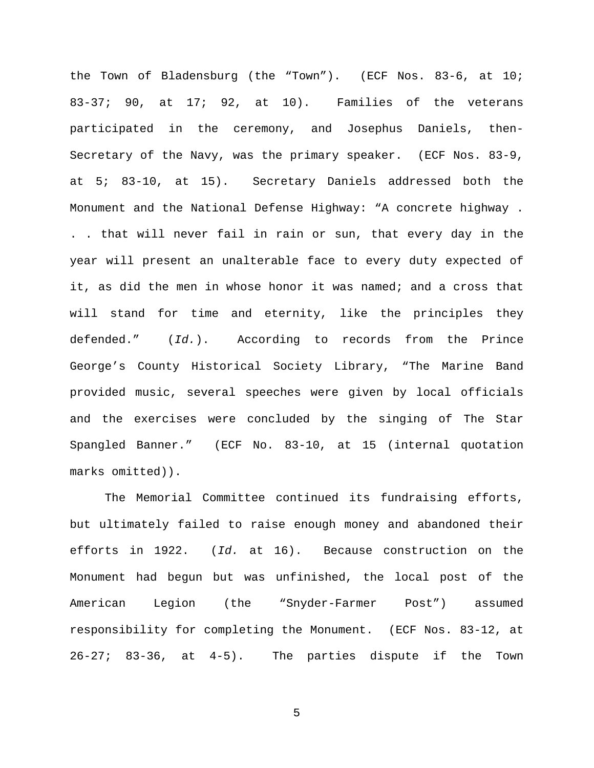the Town of Bladensburg (the "Town"). (ECF Nos. 83-6, at 10; 83-37; 90, at 17; 92, at 10). Families of the veterans participated in the ceremony, and Josephus Daniels, then-Secretary of the Navy, was the primary speaker. (ECF Nos. 83-9, at 5; 83-10, at 15). Secretary Daniels addressed both the Monument and the National Defense Highway: "A concrete highway . . . that will never fail in rain or sun, that every day in the year will present an unalterable face to every duty expected of it, as did the men in whose honor it was named; and a cross that will stand for time and eternity, like the principles they defended." (Id.). According to records from the Prince George's County Historical Society Library, "The Marine Band provided music, several speeches were given by local officials and the exercises were concluded by the singing of The Star Spangled Banner." (ECF No. 83-10, at 15 (internal quotation marks omitted)).

The Memorial Committee continued its fundraising efforts, but ultimately failed to raise enough money and abandoned their efforts in 1922. (Id. at 16). Because construction on the Monument had begun but was unfinished, the local post of the American Legion (the "Snyder-Farmer Post") assumed responsibility for completing the Monument. (ECF Nos. 83-12, at 26-27; 83-36, at 4-5). The parties dispute if the Town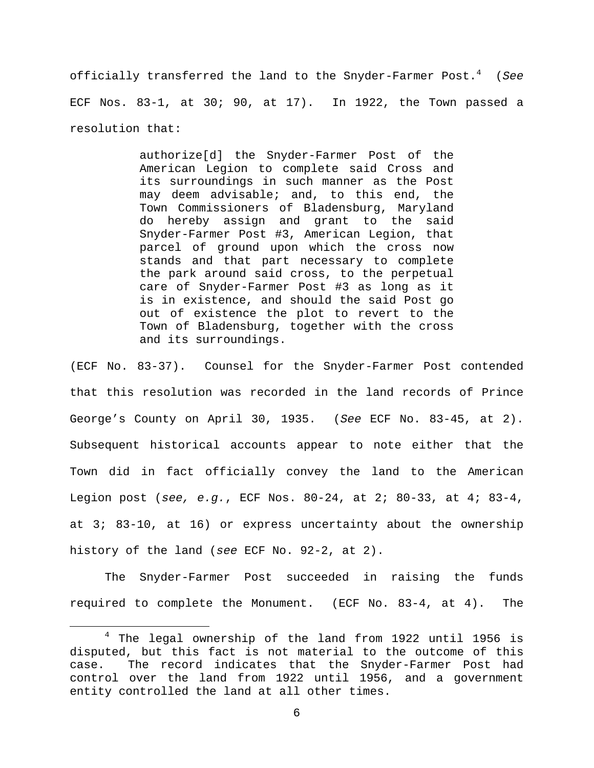officially transferred the land to the Snyder-Farmer Post. $4$  (See ECF Nos. 83-1, at 30; 90, at 17). In 1922, the Town passed a resolution that:

> authorize[d] the Snyder-Farmer Post of the American Legion to complete said Cross and its surroundings in such manner as the Post may deem advisable; and, to this end, the Town Commissioners of Bladensburg, Maryland do hereby assign and grant to the said Snyder-Farmer Post #3, American Legion, that parcel of ground upon which the cross now stands and that part necessary to complete the park around said cross, to the perpetual care of Snyder-Farmer Post #3 as long as it is in existence, and should the said Post go out of existence the plot to revert to the Town of Bladensburg, together with the cross and its surroundings.

(ECF No. 83-37). Counsel for the Snyder-Farmer Post contended that this resolution was recorded in the land records of Prince George's County on April 30, 1935. (See ECF No. 83-45, at 2). Subsequent historical accounts appear to note either that the Town did in fact officially convey the land to the American Legion post (see, e.g., ECF Nos. 80-24, at 2; 80-33, at 4; 83-4, at 3; 83-10, at 16) or express uncertainty about the ownership history of the land (see ECF No. 92-2, at 2).

 The Snyder-Farmer Post succeeded in raising the funds required to complete the Monument. (ECF No. 83-4, at 4). The

i

<sup>4</sup> The legal ownership of the land from 1922 until 1956 is disputed, but this fact is not material to the outcome of this case. The record indicates that the Snyder-Farmer Post had control over the land from 1922 until 1956, and a government entity controlled the land at all other times.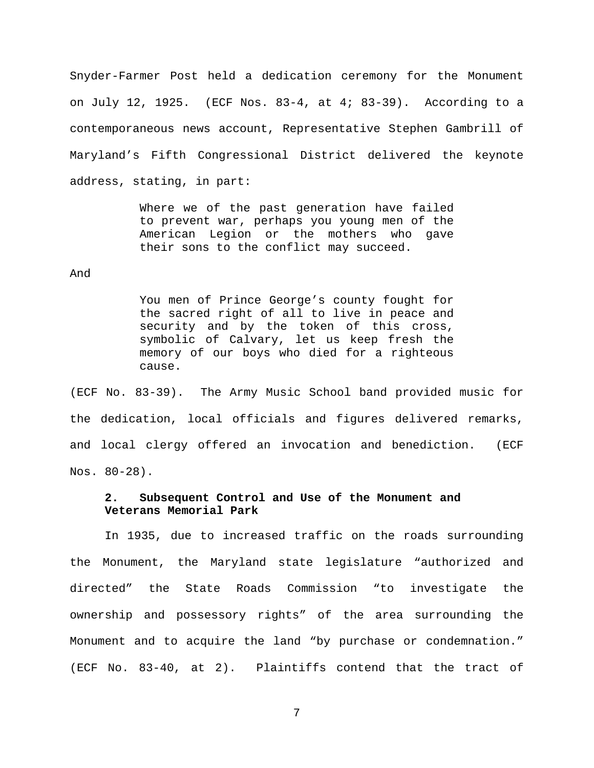Snyder-Farmer Post held a dedication ceremony for the Monument on July 12, 1925. (ECF Nos.  $83-4$ , at  $4$ ;  $83-39$ ). According to a contemporaneous news account, Representative Stephen Gambrill of Maryland's Fifth Congressional District delivered the keynote address, stating, in part:

> Where we of the past generation have failed to prevent war, perhaps you young men of the American Legion or the mothers who gave their sons to the conflict may succeed.

#### And

You men of Prince George's county fought for the sacred right of all to live in peace and security and by the token of this cross, symbolic of Calvary, let us keep fresh the memory of our boys who died for a righteous cause.

(ECF No. 83-39). The Army Music School band provided music for the dedication, local officials and figures delivered remarks, and local clergy offered an invocation and benediction. (ECF Nos. 80-28).

# **2. Subsequent Control and Use of the Monument and Veterans Memorial Park**

In 1935, due to increased traffic on the roads surrounding the Monument, the Maryland state legislature "authorized and directed" the State Roads Commission "to investigate the ownership and possessory rights" of the area surrounding the Monument and to acquire the land "by purchase or condemnation." (ECF No. 83-40, at 2). Plaintiffs contend that the tract of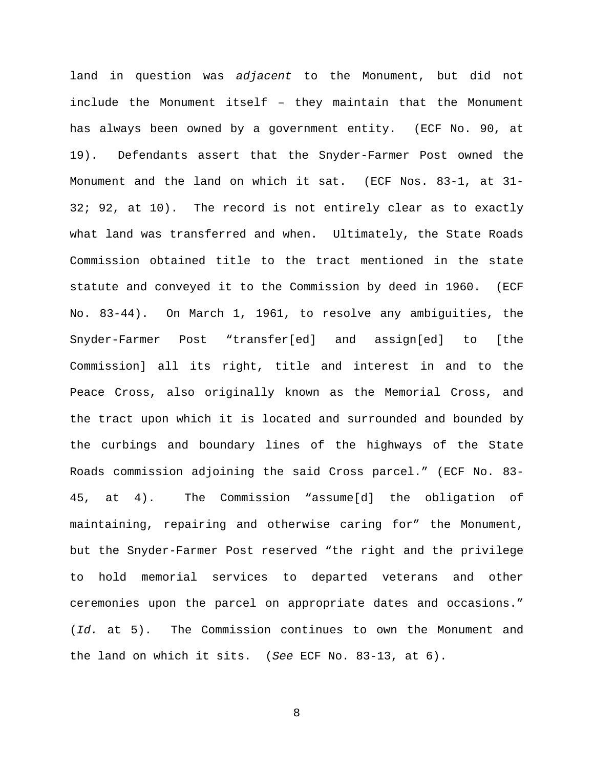land in question was adjacent to the Monument, but did not include the Monument itself – they maintain that the Monument has always been owned by a government entity. (ECF No. 90, at 19). Defendants assert that the Snyder-Farmer Post owned the Monument and the land on which it sat. (ECF Nos. 83-1, at 31- 32; 92, at 10). The record is not entirely clear as to exactly what land was transferred and when. Ultimately, the State Roads Commission obtained title to the tract mentioned in the state statute and conveyed it to the Commission by deed in 1960. (ECF No. 83-44). On March 1, 1961, to resolve any ambiguities, the Snyder-Farmer Post "transfer[ed] and assign[ed] to [the Commission] all its right, title and interest in and to the Peace Cross, also originally known as the Memorial Cross, and the tract upon which it is located and surrounded and bounded by the curbings and boundary lines of the highways of the State Roads commission adjoining the said Cross parcel." (ECF No. 83- 45, at 4). The Commission "assume[d] the obligation of maintaining, repairing and otherwise caring for" the Monument, but the Snyder-Farmer Post reserved "the right and the privilege to hold memorial services to departed veterans and other ceremonies upon the parcel on appropriate dates and occasions." (Id. at 5). The Commission continues to own the Monument and the land on which it sits. (See ECF No. 83-13, at 6).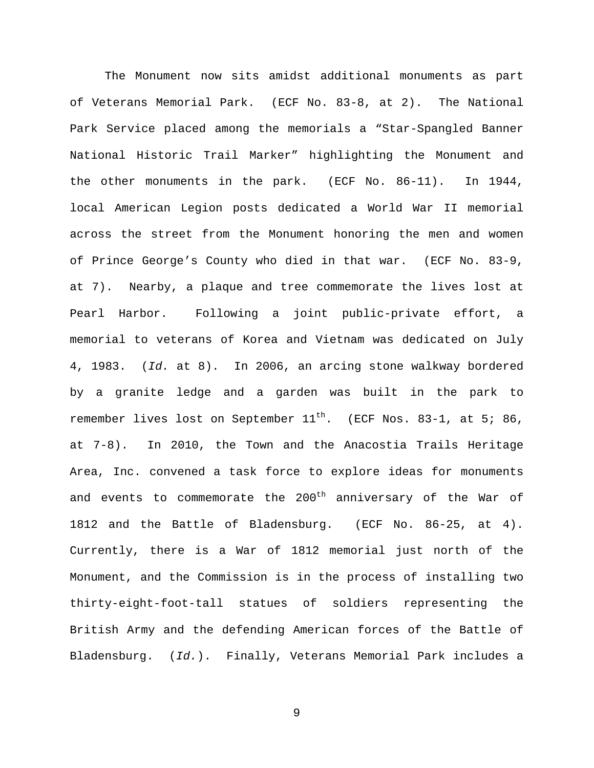The Monument now sits amidst additional monuments as part of Veterans Memorial Park. (ECF No. 83-8, at 2). The National Park Service placed among the memorials a "Star-Spangled Banner National Historic Trail Marker" highlighting the Monument and the other monuments in the park. (ECF No. 86-11). In 1944, local American Legion posts dedicated a World War II memorial across the street from the Monument honoring the men and women of Prince George's County who died in that war. (ECF No. 83-9, at 7). Nearby, a plaque and tree commemorate the lives lost at Pearl Harbor. Following a joint public-private effort, a memorial to veterans of Korea and Vietnam was dedicated on July 4, 1983. (Id. at 8). In 2006, an arcing stone walkway bordered by a granite ledge and a garden was built in the park to remember lives lost on September  $11^{th}$ . (ECF Nos. 83-1, at 5; 86, at 7-8). In 2010, the Town and the Anacostia Trails Heritage Area, Inc. convened a task force to explore ideas for monuments and events to commemorate the 200<sup>th</sup> anniversary of the War of 1812 and the Battle of Bladensburg. (ECF No. 86-25, at 4). Currently, there is a War of 1812 memorial just north of the Monument, and the Commission is in the process of installing two thirty-eight-foot-tall statues of soldiers representing the British Army and the defending American forces of the Battle of Bladensburg. (Id.). Finally, Veterans Memorial Park includes a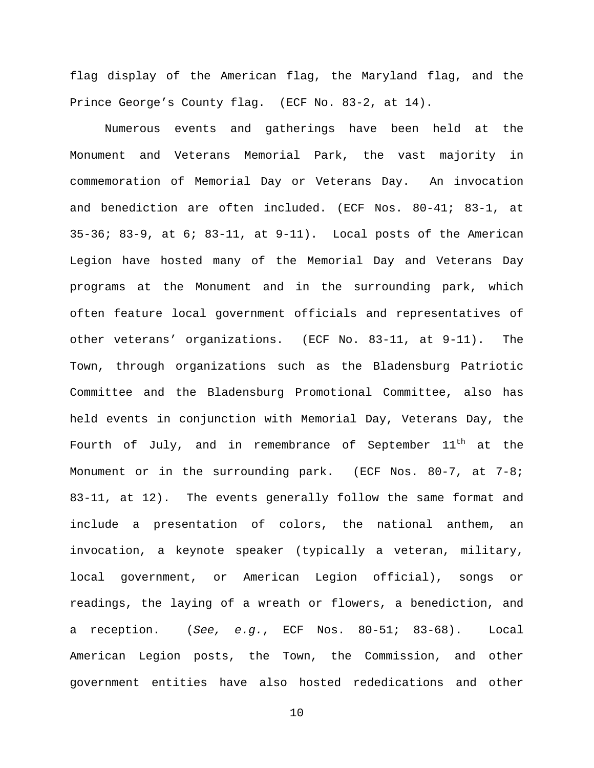flag display of the American flag, the Maryland flag, and the Prince George's County flag. (ECF No. 83-2, at 14).

Numerous events and gatherings have been held at the Monument and Veterans Memorial Park, the vast majority in commemoration of Memorial Day or Veterans Day. An invocation and benediction are often included. (ECF Nos. 80-41; 83-1, at 35-36; 83-9, at 6; 83-11, at 9-11). Local posts of the American Legion have hosted many of the Memorial Day and Veterans Day programs at the Monument and in the surrounding park, which often feature local government officials and representatives of other veterans' organizations. (ECF No. 83-11, at 9-11). The Town, through organizations such as the Bladensburg Patriotic Committee and the Bladensburg Promotional Committee, also has held events in conjunction with Memorial Day, Veterans Day, the Fourth of July, and in remembrance of September  $11<sup>th</sup>$  at the Monument or in the surrounding park. (ECF Nos.  $80-7$ , at  $7-8i$ ) 83-11, at 12). The events generally follow the same format and include a presentation of colors, the national anthem, an invocation, a keynote speaker (typically a veteran, military, local government, or American Legion official), songs or readings, the laying of a wreath or flowers, a benediction, and a reception. (See, e.g., ECF Nos. 80-51; 83-68). Local American Legion posts, the Town, the Commission, and other government entities have also hosted rededications and other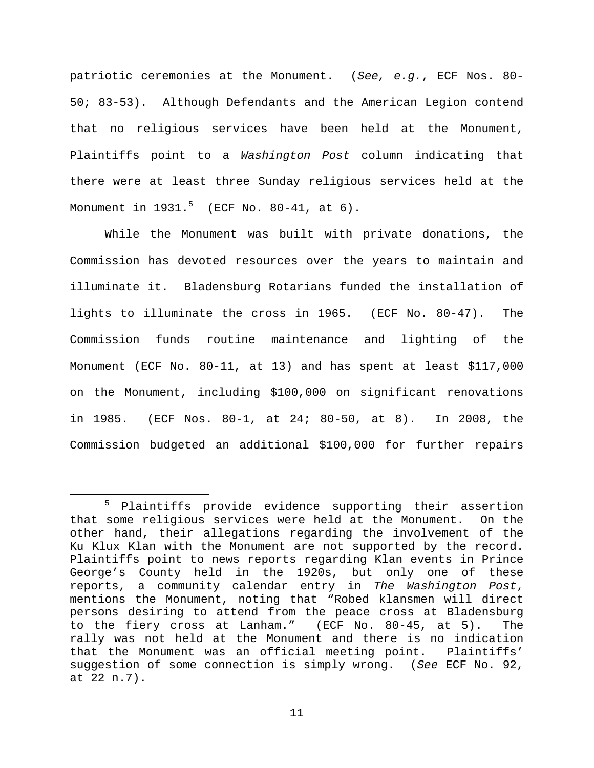patriotic ceremonies at the Monument. (See, e.g., ECF Nos. 80- 50; 83-53). Although Defendants and the American Legion contend that no religious services have been held at the Monument, Plaintiffs point to a Washington Post column indicating that there were at least three Sunday religious services held at the Monument in  $1931.^5$  (ECF No. 80-41, at 6).

While the Monument was built with private donations, the Commission has devoted resources over the years to maintain and illuminate it. Bladensburg Rotarians funded the installation of lights to illuminate the cross in 1965. (ECF No. 80-47). The Commission funds routine maintenance and lighting of the Monument (ECF No. 80-11, at 13) and has spent at least \$117,000 on the Monument, including \$100,000 on significant renovations in 1985. (ECF Nos. 80-1, at 24; 80-50, at 8). In 2008, the Commission budgeted an additional \$100,000 for further repairs

<sup>5</sup> Plaintiffs provide evidence supporting their assertion that some religious services were held at the Monument. On the other hand, their allegations regarding the involvement of the Ku Klux Klan with the Monument are not supported by the record. Plaintiffs point to news reports regarding Klan events in Prince George's County held in the 1920s, but only one of these reports, a community calendar entry in The Washington Post, mentions the Monument, noting that "Robed klansmen will direct persons desiring to attend from the peace cross at Bladensburg to the fiery cross at Lanham." (ECF No. 80-45, at 5). The rally was not held at the Monument and there is no indication that the Monument was an official meeting point. Plaintiffs' suggestion of some connection is simply wrong. (See ECF No. 92, at 22 n.7).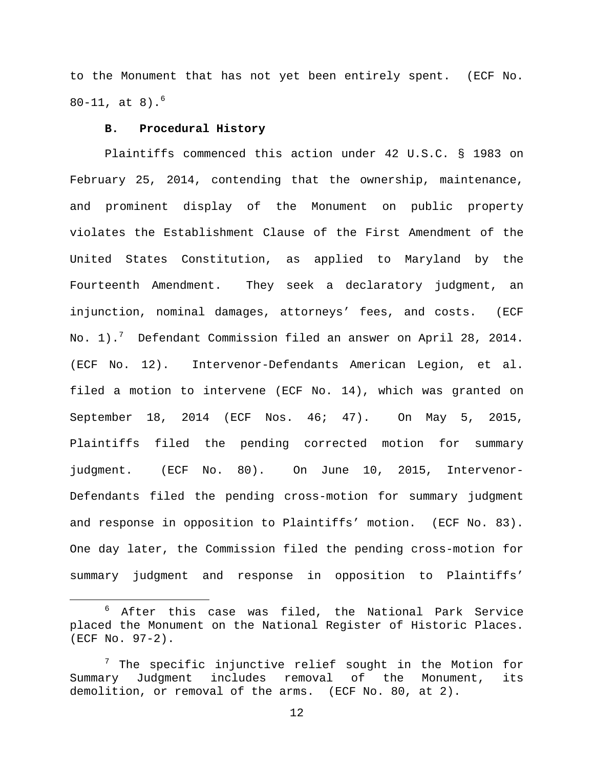to the Monument that has not yet been entirely spent. (ECF No.  $80-11$ , at  $8)$ .<sup>6</sup>

# **B. Procedural History**

÷,

Plaintiffs commenced this action under 42 U.S.C. § 1983 on February 25, 2014, contending that the ownership, maintenance, and prominent display of the Monument on public property violates the Establishment Clause of the First Amendment of the United States Constitution, as applied to Maryland by the Fourteenth Amendment. They seek a declaratory judgment, an injunction, nominal damages, attorneys' fees, and costs. (ECF No. 1).<sup>7</sup> Defendant Commission filed an answer on April 28, 2014. (ECF No. 12). Intervenor-Defendants American Legion, et al. filed a motion to intervene (ECF No. 14), which was granted on September 18, 2014 (ECF Nos. 46; 47). On May 5, 2015, Plaintiffs filed the pending corrected motion for summary judgment. (ECF No. 80). On June 10, 2015, Intervenor-Defendants filed the pending cross-motion for summary judgment and response in opposition to Plaintiffs' motion. (ECF No. 83). One day later, the Commission filed the pending cross-motion for summary judgment and response in opposition to Plaintiffs'

<sup>6</sup> After this case was filed, the National Park Service placed the Monument on the National Register of Historic Places. (ECF No. 97-2).

 $7$  The specific injunctive relief sought in the Motion for Summary Judgment includes removal of the Monument, its demolition, or removal of the arms. (ECF No. 80, at 2).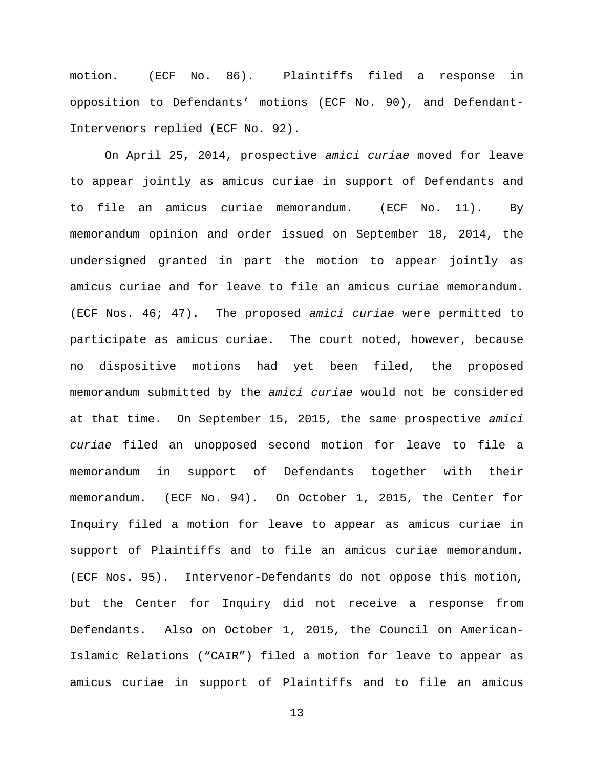motion. (ECF No. 86). Plaintiffs filed a response in opposition to Defendants' motions (ECF No. 90), and Defendant-Intervenors replied (ECF No. 92).

On April 25, 2014, prospective amici curiae moved for leave to appear jointly as amicus curiae in support of Defendants and to file an amicus curiae memorandum. (ECF No. 11). By memorandum opinion and order issued on September 18, 2014, the undersigned granted in part the motion to appear jointly as amicus curiae and for leave to file an amicus curiae memorandum. (ECF Nos. 46; 47). The proposed amici curiae were permitted to participate as amicus curiae. The court noted, however, because no dispositive motions had yet been filed, the proposed memorandum submitted by the amici curiae would not be considered at that time. On September 15, 2015, the same prospective amici curiae filed an unopposed second motion for leave to file a memorandum in support of Defendants together with their memorandum. (ECF No. 94). On October 1, 2015, the Center for Inquiry filed a motion for leave to appear as amicus curiae in support of Plaintiffs and to file an amicus curiae memorandum. (ECF Nos. 95). Intervenor-Defendants do not oppose this motion, but the Center for Inquiry did not receive a response from Defendants. Also on October 1, 2015, the Council on American-Islamic Relations ("CAIR") filed a motion for leave to appear as amicus curiae in support of Plaintiffs and to file an amicus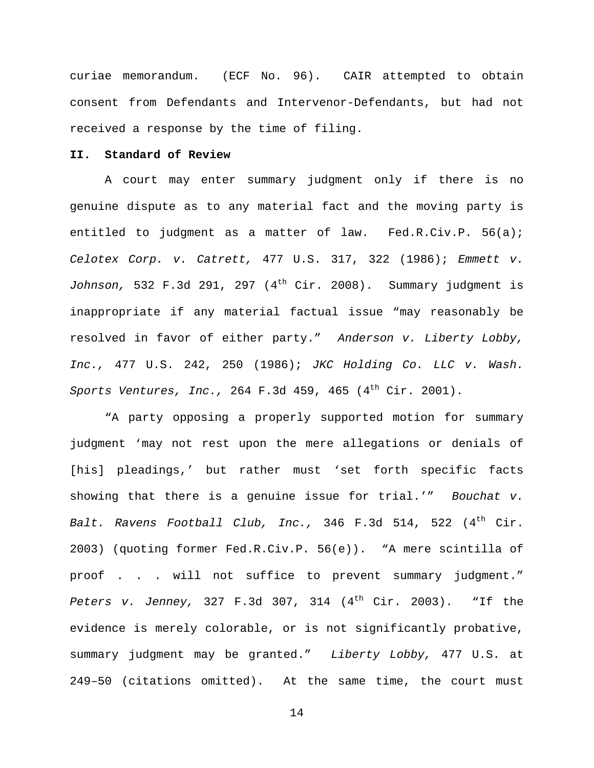curiae memorandum. (ECF No. 96). CAIR attempted to obtain consent from Defendants and Intervenor-Defendants, but had not received a response by the time of filing.

# **II. Standard of Review**

A court may enter summary judgment only if there is no genuine dispute as to any material fact and the moving party is entitled to judgment as a matter of law. Fed.R.Civ.P. 56(a); Celotex Corp. v. Catrett, 477 U.S. 317, 322 (1986); Emmett v. Johnson, 532 F.3d 291, 297 ( $4^{th}$  Cir. 2008). Summary judgment is inappropriate if any material factual issue "may reasonably be resolved in favor of either party." Anderson v. Liberty Lobby, Inc., 477 U.S. 242, 250 (1986); JKC Holding Co. LLC v. Wash. Sports Ventures, Inc., 264 F.3d 459, 465  $(4<sup>th</sup> Cir. 2001)$ .

"A party opposing a properly supported motion for summary judgment 'may not rest upon the mere allegations or denials of [his] pleadings,' but rather must 'set forth specific facts showing that there is a genuine issue for trial.'" Bouchat  $v$ . Balt. Ravens Football Club, Inc., 346 F.3d 514, 522  $(4<sup>th</sup> Cir.$ 2003) (quoting former Fed.R.Civ.P. 56(e)). "A mere scintilla of proof . . . will not suffice to prevent summary judgment." Peters v. Jenney, 327 F.3d 307, 314  $(4<sup>th</sup> Cir. 2003)$ . "If the evidence is merely colorable, or is not significantly probative, summary judgment may be granted." Liberty Lobby, 477 U.S. at 249–50 (citations omitted). At the same time, the court must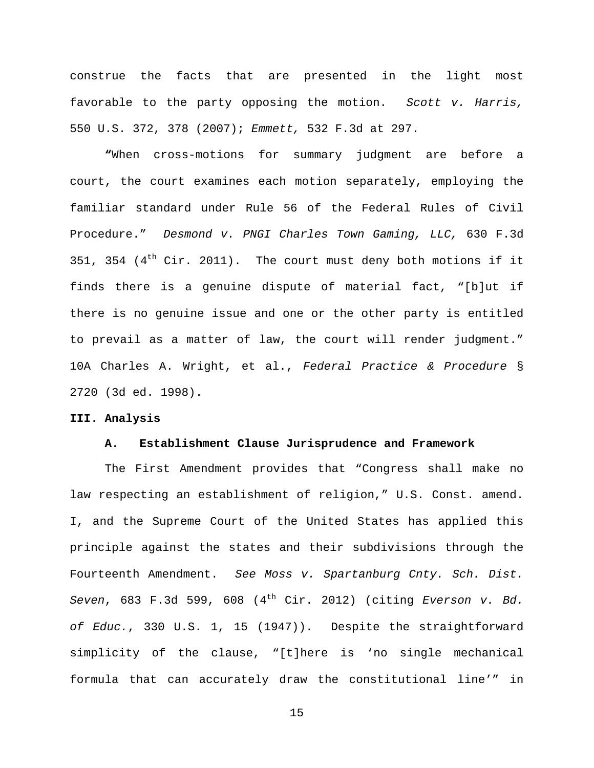construe the facts that are presented in the light most favorable to the party opposing the motion. Scott v. Harris, 550 U.S. 372, 378 (2007); Emmett, 532 F.3d at 297.

**"**When cross-motions for summary judgment are before a court, the court examines each motion separately, employing the familiar standard under Rule 56 of the Federal Rules of Civil Procedure." Desmond v. PNGI Charles Town Gaming, LLC, 630 F.3d 351, 354  $(4<sup>th</sup> Cir. 2011)$ . The court must deny both motions if it finds there is a genuine dispute of material fact, "[b]ut if there is no genuine issue and one or the other party is entitled to prevail as a matter of law, the court will render judgment." 10A Charles A. Wright, et al., Federal Practice & Procedure § 2720 (3d ed. 1998).

### **III. Analysis**

#### **A. Establishment Clause Jurisprudence and Framework**

The First Amendment provides that "Congress shall make no law respecting an establishment of religion," U.S. Const. amend. I, and the Supreme Court of the United States has applied this principle against the states and their subdivisions through the Fourteenth Amendment. See Moss v. Spartanburg Cnty. Sch. Dist. Seven, 683 F.3d 599, 608 (4<sup>th</sup> Cir. 2012) (citing Everson v. Bd. of Educ., 330 U.S. 1, 15 (1947)). Despite the straightforward simplicity of the clause, "[t]here is 'no single mechanical formula that can accurately draw the constitutional line'" in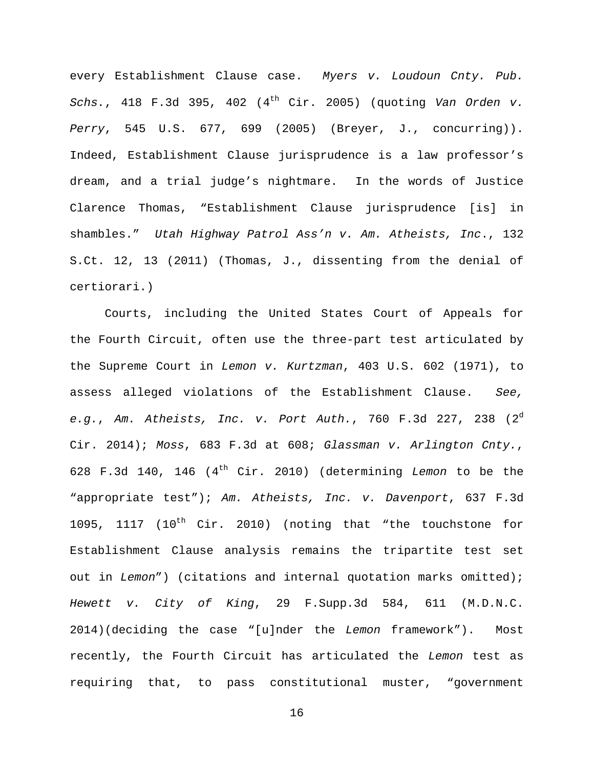every Establishment Clause case. Myers v. Loudoun Cnty. Pub. Schs., 418 F.3d 395, 402  $(4<sup>th</sup>$  Cir. 2005) (quoting Van Orden v. Perry, 545 U.S. 677, 699 (2005) (Breyer, J., concurring)). Indeed, Establishment Clause jurisprudence is a law professor's dream, and a trial judge's nightmare. In the words of Justice Clarence Thomas, "Establishment Clause jurisprudence [is] in shambles." Utah Highway Patrol Ass'n v. Am. Atheists, Inc., 132 S.Ct. 12, 13 (2011) (Thomas, J., dissenting from the denial of certiorari.)

Courts, including the United States Court of Appeals for the Fourth Circuit, often use the three-part test articulated by the Supreme Court in Lemon v. Kurtzman, 403 U.S. 602 (1971), to assess alleged violations of the Establishment Clause. See, e.g., Am. Atheists, Inc. v. Port Auth., 760 F.3d 227, 238  $(2^d)$ Cir. 2014); Moss, 683 F.3d at 608; Glassman v. Arlington Cnty., 628 F.3d 140, 146  $(4<sup>th</sup> Cir. 2010)$  (determining Lemon to be the "appropriate test"); Am. Atheists, Inc. v. Davenport, 637 F.3d 1095, 1117 (10<sup>th</sup> Cir. 2010) (noting that "the touchstone for Establishment Clause analysis remains the tripartite test set out in Lemon") (citations and internal quotation marks omitted); Hewett v. City of King, 29 F.Supp.3d 584, 611 (M.D.N.C. 2014)(deciding the case "[u]nder the Lemon framework"). Most recently, the Fourth Circuit has articulated the Lemon test as requiring that, to pass constitutional muster, "government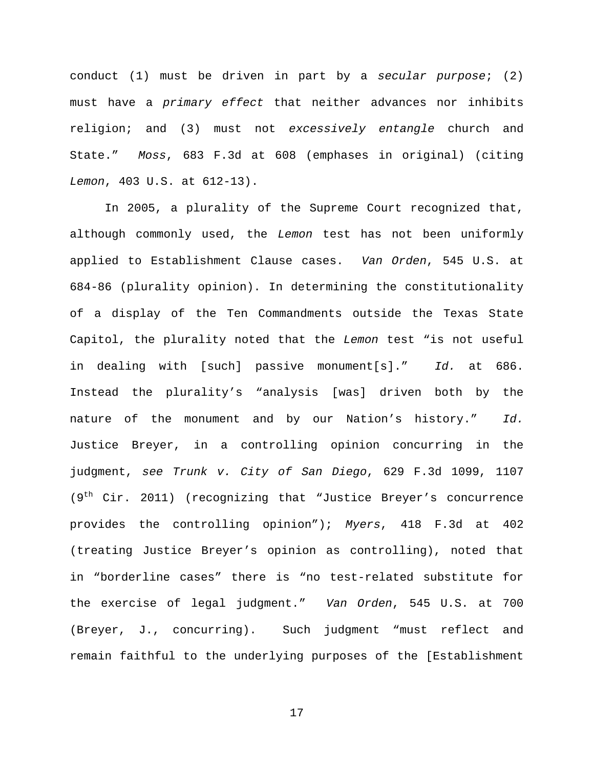conduct (1) must be driven in part by a secular purpose; (2) must have a primary effect that neither advances nor inhibits religion; and (3) must not excessively entangle church and State." Moss, 683 F.3d at 608 (emphases in original) (citing Lemon, 403 U.S. at 612-13).

In 2005, a plurality of the Supreme Court recognized that, although commonly used, the Lemon test has not been uniformly applied to Establishment Clause cases. Van Orden, 545 U.S. at 684-86 (plurality opinion). In determining the constitutionality of a display of the Ten Commandments outside the Texas State Capitol, the plurality noted that the Lemon test "is not useful in dealing with [such] passive monument[s]." Id. at 686. Instead the plurality's "analysis [was] driven both by the nature of the monument and by our Nation's history." Id. Justice Breyer, in a controlling opinion concurring in the judgment, see Trunk v. City of San Diego, 629 F.3d 1099, 1107 (9<sup>th</sup> Cir. 2011) (recognizing that "Justice Breyer's concurrence provides the controlling opinion"); Myers, 418 F.3d at 402 (treating Justice Breyer's opinion as controlling), noted that in "borderline cases" there is "no test-related substitute for the exercise of legal judgment." Van Orden, 545 U.S. at 700 (Breyer, J., concurring). Such judgment "must reflect and remain faithful to the underlying purposes of the [Establishment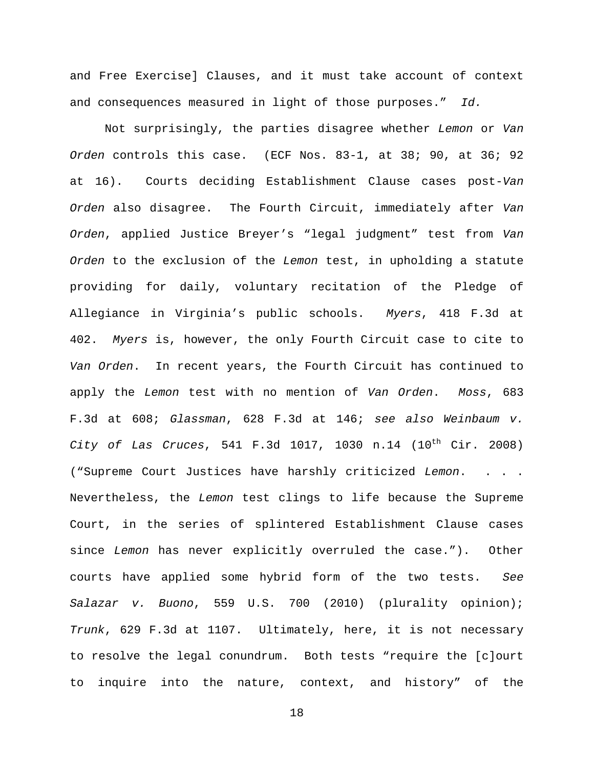and Free Exercise] Clauses, and it must take account of context and consequences measured in light of those purposes." Id.

Not surprisingly, the parties disagree whether Lemon or Van Orden controls this case. (ECF Nos. 83-1, at 38; 90, at 36; 92 at 16). Courts deciding Establishment Clause cases post-Van Orden also disagree. The Fourth Circuit, immediately after Van Orden, applied Justice Breyer's "legal judgment" test from Van Orden to the exclusion of the Lemon test, in upholding a statute providing for daily, voluntary recitation of the Pledge of Allegiance in Virginia's public schools. Myers, 418 F.3d at 402. Myers is, however, the only Fourth Circuit case to cite to Van Orden. In recent years, the Fourth Circuit has continued to apply the Lemon test with no mention of Van Orden. Moss, 683 F.3d at 608; Glassman, 628 F.3d at 146; see also Weinbaum v. City of Las Cruces, 541 F.3d 1017, 1030 n.14  $(10^{th}$  Cir. 2008) ("Supreme Court Justices have harshly criticized Lemon. . . . Nevertheless, the Lemon test clings to life because the Supreme Court, in the series of splintered Establishment Clause cases since Lemon has never explicitly overruled the case."). Other courts have applied some hybrid form of the two tests. See Salazar v. Buono, 559 U.S. 700 (2010) (plurality opinion); Trunk, 629 F.3d at 1107. Ultimately, here, it is not necessary to resolve the legal conundrum. Both tests "require the [c]ourt to inquire into the nature, context, and history" of the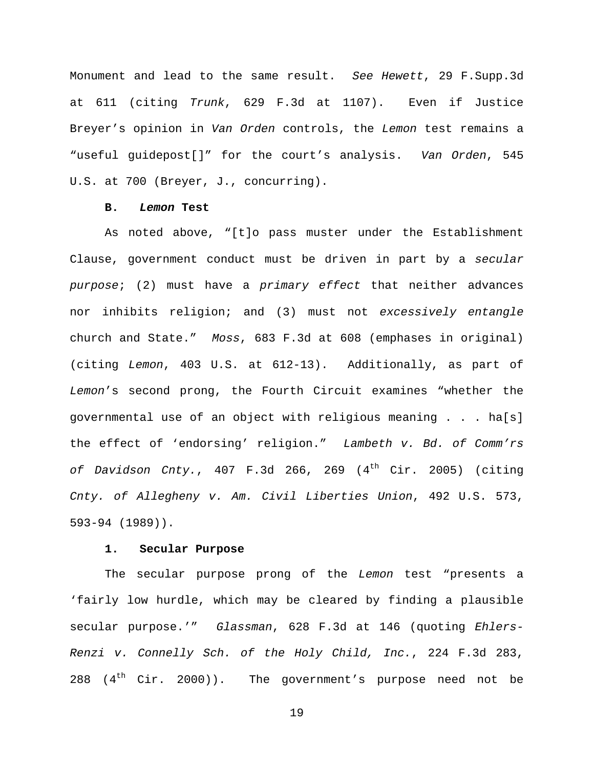Monument and lead to the same result. See Hewett, 29 F.Supp.3d at 611 (citing Trunk, 629 F.3d at 1107). Even if Justice Breyer's opinion in Van Orden controls, the Lemon test remains a "useful guidepost[]" for the court's analysis. Van Orden, 545 U.S. at 700 (Breyer, J., concurring).

## **B. Lemon Test**

As noted above, "[t]o pass muster under the Establishment Clause, government conduct must be driven in part by a secular purpose; (2) must have a primary effect that neither advances nor inhibits religion; and (3) must not excessively entangle church and State." Moss, 683 F.3d at 608 (emphases in original) (citing Lemon, 403 U.S. at 612-13). Additionally, as part of Lemon's second prong, the Fourth Circuit examines "whether the governmental use of an object with religious meaning . . . ha[s] the effect of 'endorsing' religion." Lambeth v. Bd. of Comm'rs of Davidson Cnty.,  $407$  F.3d 266, 269 ( $4^{\text{th}}$  Cir. 2005) (citing Cnty. of Allegheny v. Am. Civil Liberties Union, 492 U.S. 573, 593-94 (1989)).

# **1. Secular Purpose**

The secular purpose prong of the Lemon test "presents a 'fairly low hurdle, which may be cleared by finding a plausible secular purpose.'" Glassman, 628 F.3d at 146 (quoting Ehlers-Renzi v. Connelly Sch. of the Holy Child, Inc., 224 F.3d 283, 288  $(4<sup>th</sup> Cir. 2000)$ . The government's purpose need not be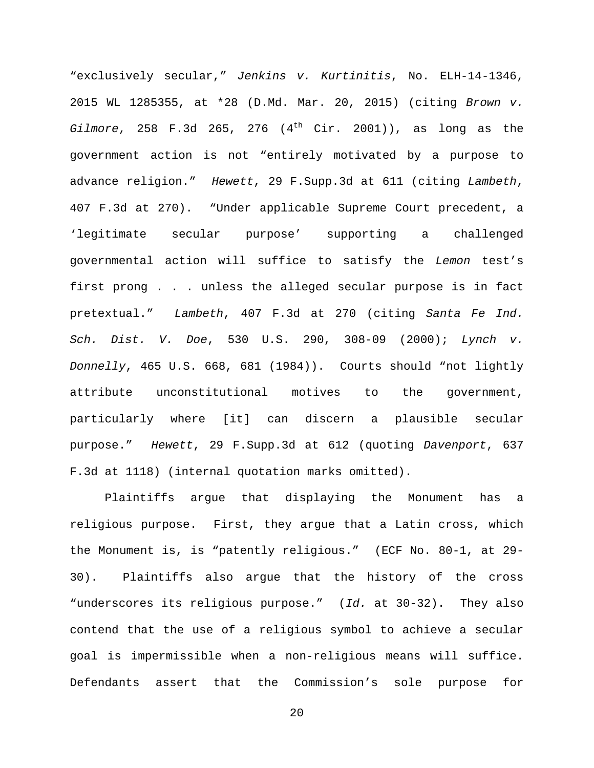"exclusively secular," Jenkins v. Kurtinitis, No. ELH-14-1346, 2015 WL 1285355, at \*28 (D.Md. Mar. 20, 2015) (citing Brown v. Gilmore, 258 F.3d 265, 276  $(4<sup>th</sup>$  Cir. 2001)), as long as the government action is not "entirely motivated by a purpose to advance religion." Hewett, 29 F.Supp.3d at 611 (citing Lambeth, 407 F.3d at 270). "Under applicable Supreme Court precedent, a 'legitimate secular purpose' supporting a challenged governmental action will suffice to satisfy the Lemon test's first prong . . . unless the alleged secular purpose is in fact pretextual." Lambeth, 407 F.3d at 270 (citing Santa Fe Ind. Sch. Dist. V. Doe, 530 U.S. 290, 308-09 (2000); Lynch v. Donnelly, 465 U.S. 668, 681 (1984)). Courts should "not lightly attribute unconstitutional motives to the government, particularly where [it] can discern a plausible secular purpose." Hewett, 29 F.Supp.3d at 612 (quoting Davenport, 637 F.3d at 1118) (internal quotation marks omitted).

Plaintiffs argue that displaying the Monument has a religious purpose. First, they argue that a Latin cross, which the Monument is, is "patently religious." (ECF No. 80-1, at 29- 30). Plaintiffs also argue that the history of the cross "underscores its religious purpose." (Id. at 30-32). They also contend that the use of a religious symbol to achieve a secular goal is impermissible when a non-religious means will suffice. Defendants assert that the Commission's sole purpose for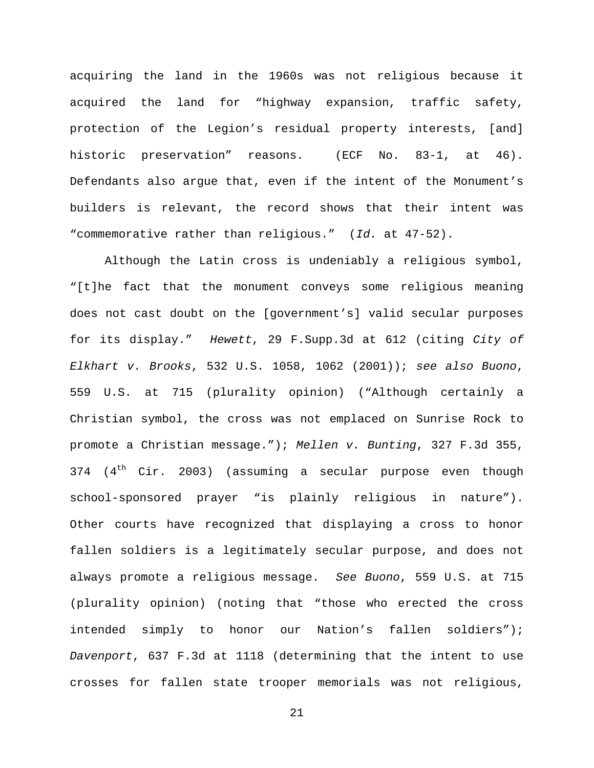acquiring the land in the 1960s was not religious because it acquired the land for "highway expansion, traffic safety, protection of the Legion's residual property interests, [and] historic preservation" reasons. (ECF No. 83-1, at 46). Defendants also argue that, even if the intent of the Monument's builders is relevant, the record shows that their intent was "commemorative rather than religious." (Id. at 47-52).

Although the Latin cross is undeniably a religious symbol, "[t]he fact that the monument conveys some religious meaning does not cast doubt on the [government's] valid secular purposes for its display." Hewett, 29 F.Supp.3d at 612 (citing City of Elkhart v. Brooks, 532 U.S. 1058, 1062 (2001)); see also Buono, 559 U.S. at 715 (plurality opinion) ("Although certainly a Christian symbol, the cross was not emplaced on Sunrise Rock to promote a Christian message."); Mellen v. Bunting, 327 F.3d 355, 374  $(4<sup>th</sup> Cir. 2003)$  (assuming a secular purpose even though school-sponsored prayer "is plainly religious in nature"). Other courts have recognized that displaying a cross to honor fallen soldiers is a legitimately secular purpose, and does not always promote a religious message. See Buono, 559 U.S. at 715 (plurality opinion) (noting that "those who erected the cross intended simply to honor our Nation's fallen soldiers"); Davenport, 637 F.3d at 1118 (determining that the intent to use crosses for fallen state trooper memorials was not religious,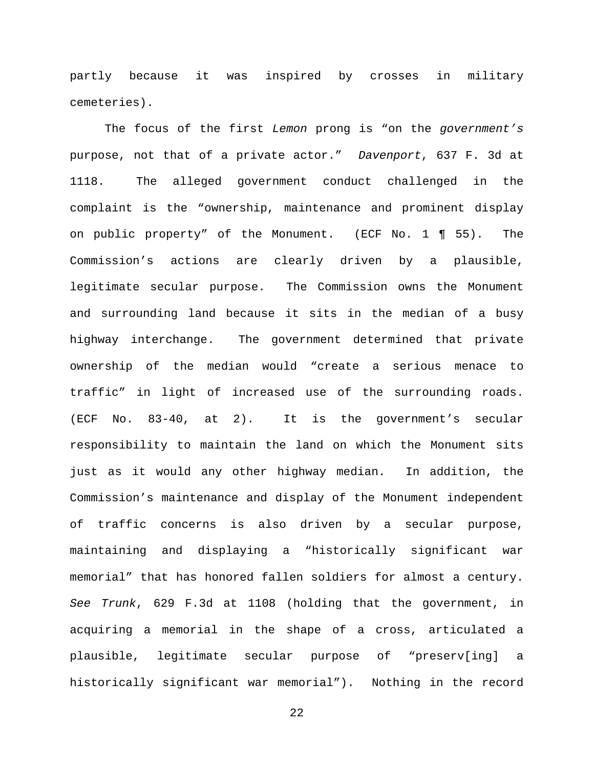partly because it was inspired by crosses in military cemeteries).

The focus of the first Lemon prong is "on the government's purpose, not that of a private actor." Davenport, 637 F. 3d at 1118. The alleged government conduct challenged in the complaint is the "ownership, maintenance and prominent display on public property" of the Monument. (ECF No. 1 ¶ 55). The Commission's actions are clearly driven by a plausible, legitimate secular purpose. The Commission owns the Monument and surrounding land because it sits in the median of a busy highway interchange. The government determined that private ownership of the median would "create a serious menace to traffic" in light of increased use of the surrounding roads. (ECF No. 83-40, at 2). It is the government's secular responsibility to maintain the land on which the Monument sits just as it would any other highway median. In addition, the Commission's maintenance and display of the Monument independent of traffic concerns is also driven by a secular purpose, maintaining and displaying a "historically significant war memorial" that has honored fallen soldiers for almost a century. See Trunk, 629 F.3d at 1108 (holding that the government, in acquiring a memorial in the shape of a cross, articulated a plausible, legitimate secular purpose of "preserv[ing] a historically significant war memorial"). Nothing in the record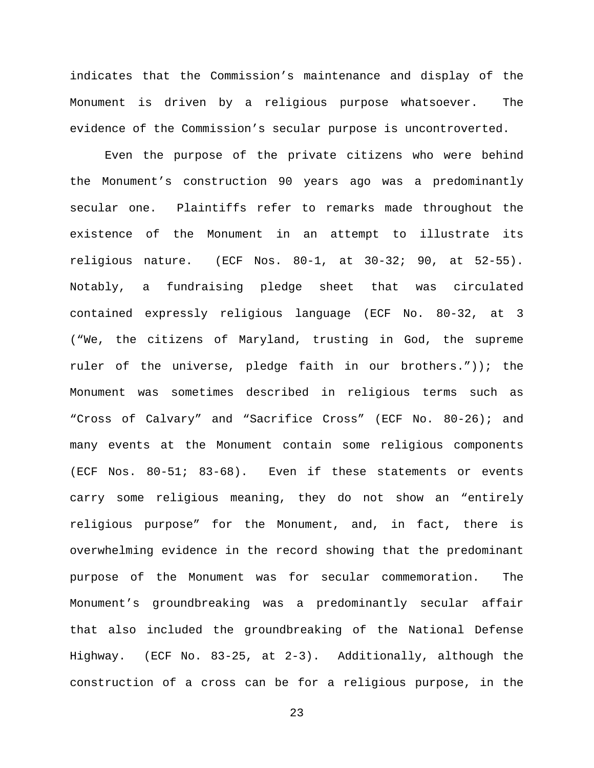indicates that the Commission's maintenance and display of the Monument is driven by a religious purpose whatsoever. The evidence of the Commission's secular purpose is uncontroverted.

Even the purpose of the private citizens who were behind the Monument's construction 90 years ago was a predominantly secular one. Plaintiffs refer to remarks made throughout the existence of the Monument in an attempt to illustrate its religious nature. (ECF Nos. 80-1, at 30-32; 90, at 52-55). Notably, a fundraising pledge sheet that was circulated contained expressly religious language (ECF No. 80-32, at 3 ("We, the citizens of Maryland, trusting in God, the supreme ruler of the universe, pledge faith in our brothers.")); the Monument was sometimes described in religious terms such as "Cross of Calvary" and "Sacrifice Cross" (ECF No. 80-26); and many events at the Monument contain some religious components (ECF Nos. 80-51; 83-68). Even if these statements or events carry some religious meaning, they do not show an "entirely religious purpose" for the Monument, and, in fact, there is overwhelming evidence in the record showing that the predominant purpose of the Monument was for secular commemoration. The Monument's groundbreaking was a predominantly secular affair that also included the groundbreaking of the National Defense Highway. (ECF No. 83-25, at 2-3). Additionally, although the construction of a cross can be for a religious purpose, in the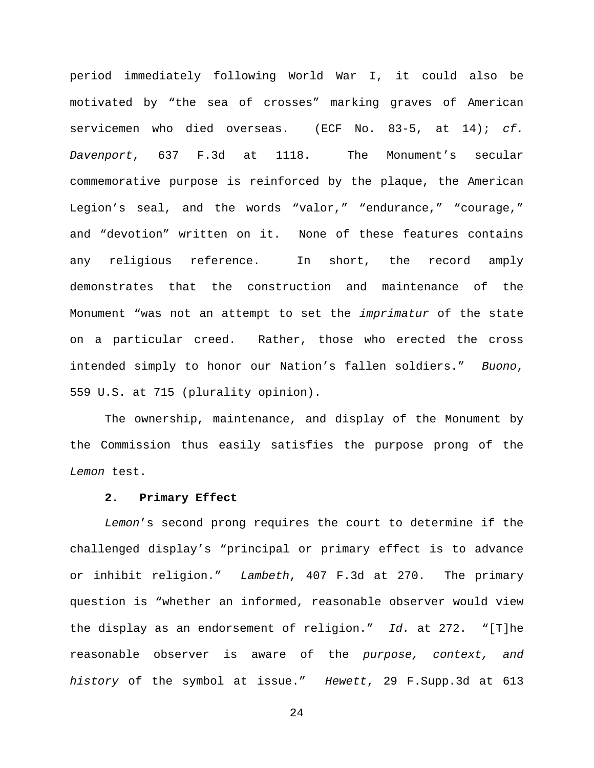period immediately following World War I, it could also be motivated by "the sea of crosses" marking graves of American servicemen who died overseas. (ECF No. 83-5, at  $14$ ); cf. Davenport, 637 F.3d at 1118. The Monument's secular commemorative purpose is reinforced by the plaque, the American Legion's seal, and the words "valor," "endurance," "courage," and "devotion" written on it. None of these features contains any religious reference. In short, the record amply demonstrates that the construction and maintenance of the Monument "was not an attempt to set the *imprimatur* of the state on a particular creed. Rather, those who erected the cross intended simply to honor our Nation's fallen soldiers." Buono, 559 U.S. at 715 (plurality opinion).

The ownership, maintenance, and display of the Monument by the Commission thus easily satisfies the purpose prong of the Lemon test.

# **2. Primary Effect**

Lemon's second prong requires the court to determine if the challenged display's "principal or primary effect is to advance or inhibit religion." Lambeth, 407 F.3d at 270. The primary question is "whether an informed, reasonable observer would view the display as an endorsement of religion." Id. at 272. "[T]he reasonable observer is aware of the purpose, context, and history of the symbol at issue." Hewett, 29 F.Supp.3d at 613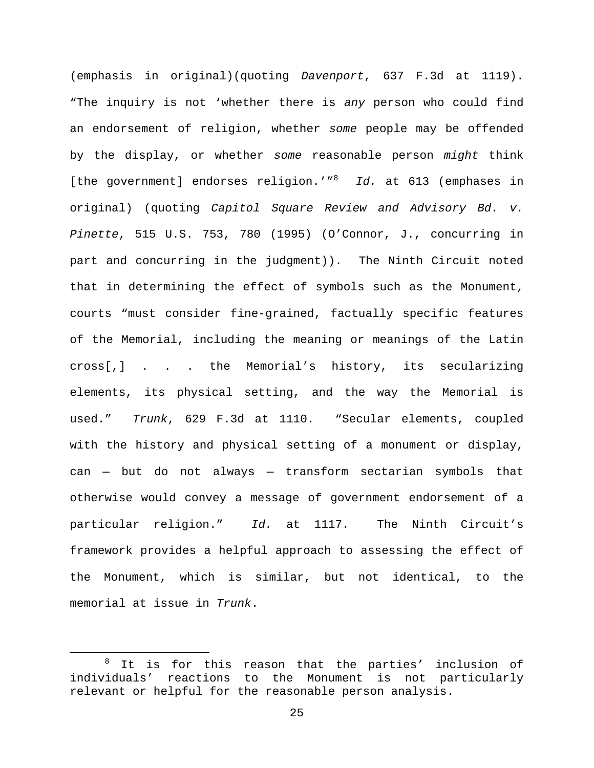(emphasis in original)(quoting Davenport, 637 F.3d at 1119). "The inquiry is not 'whether there is any person who could find an endorsement of religion, whether some people may be offended by the display, or whether some reasonable person might think [the government] endorses religion.'"<sup>8</sup> Id. at 613 (emphases in original) (quoting Capitol Square Review and Advisory Bd. v. Pinette, 515 U.S. 753, 780 (1995) (O'Connor, J., concurring in part and concurring in the judgment)). The Ninth Circuit noted that in determining the effect of symbols such as the Monument, courts "must consider fine-grained, factually specific features of the Memorial, including the meaning or meanings of the Latin cross[,] . . . the Memorial's history, its secularizing elements, its physical setting, and the way the Memorial is used." Trunk, 629 F.3d at 1110. "Secular elements, coupled with the history and physical setting of a monument or display, can — but do not always — transform sectarian symbols that otherwise would convey a message of government endorsement of a particular religion." Id. at 1117. The Ninth Circuit's framework provides a helpful approach to assessing the effect of the Monument, which is similar, but not identical, to the memorial at issue in Trunk.

÷,

 $8$  It is for this reason that the parties' inclusion of individuals' reactions to the Monument is not particularly relevant or helpful for the reasonable person analysis.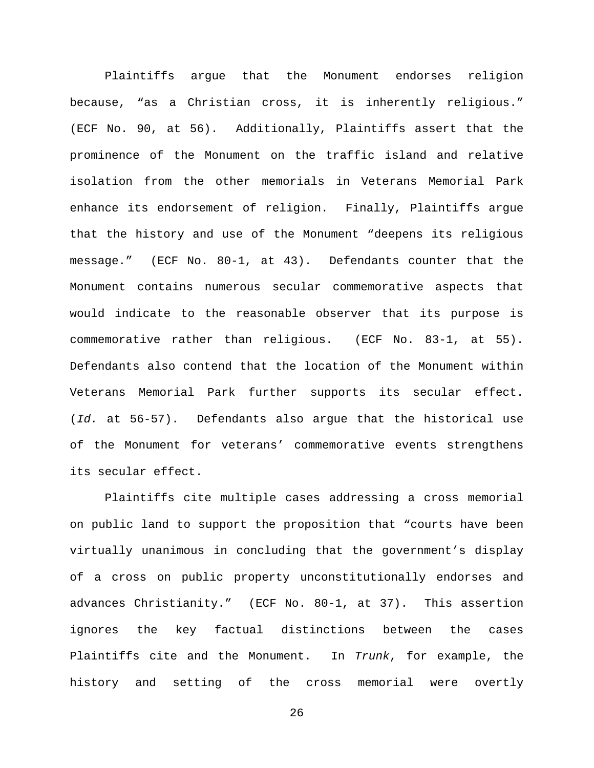Plaintiffs argue that the Monument endorses religion because, "as a Christian cross, it is inherently religious." (ECF No. 90, at 56). Additionally, Plaintiffs assert that the prominence of the Monument on the traffic island and relative isolation from the other memorials in Veterans Memorial Park enhance its endorsement of religion. Finally, Plaintiffs argue that the history and use of the Monument "deepens its religious message." (ECF No. 80-1, at 43). Defendants counter that the Monument contains numerous secular commemorative aspects that would indicate to the reasonable observer that its purpose is commemorative rather than religious. (ECF No. 83-1, at 55). Defendants also contend that the location of the Monument within Veterans Memorial Park further supports its secular effect. (Id. at 56-57). Defendants also argue that the historical use of the Monument for veterans' commemorative events strengthens its secular effect.

Plaintiffs cite multiple cases addressing a cross memorial on public land to support the proposition that "courts have been virtually unanimous in concluding that the government's display of a cross on public property unconstitutionally endorses and advances Christianity." (ECF No. 80-1, at 37). This assertion ignores the key factual distinctions between the cases Plaintiffs cite and the Monument. In Trunk, for example, the history and setting of the cross memorial were overtly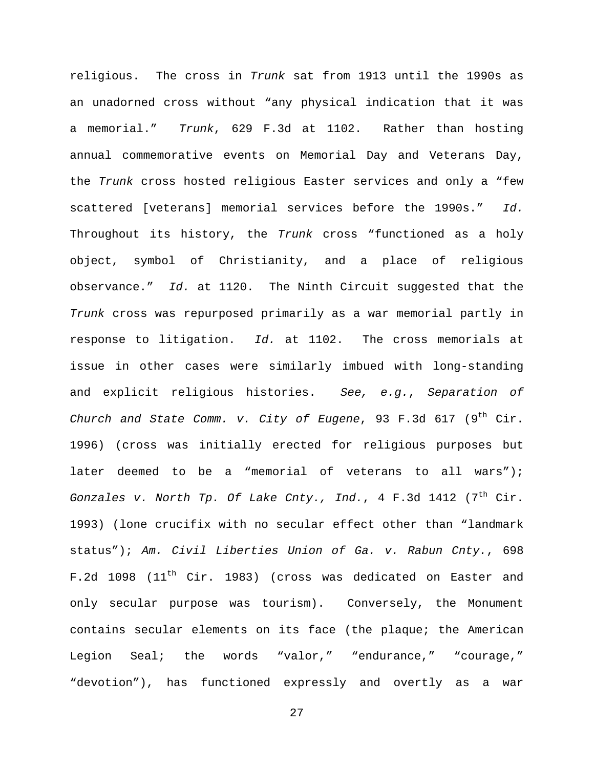religious. The cross in Trunk sat from 1913 until the 1990s as an unadorned cross without "any physical indication that it was a memorial." Trunk, 629 F.3d at 1102. Rather than hosting annual commemorative events on Memorial Day and Veterans Day, the Trunk cross hosted religious Easter services and only a "few scattered [veterans] memorial services before the 1990s." Id. Throughout its history, the Trunk cross "functioned as a holy object, symbol of Christianity, and a place of religious observance." Id. at 1120. The Ninth Circuit suggested that the Trunk cross was repurposed primarily as a war memorial partly in response to litigation. Id. at 1102. The cross memorials at issue in other cases were similarly imbued with long-standing and explicit religious histories. See, e.g., Separation of Church and State Comm. v. City of Eugene, 93 F.3d 617 (9th Cir. 1996) (cross was initially erected for religious purposes but later deemed to be a "memorial of veterans to all wars"); Gonzales v. North Tp. Of Lake Cnty., Ind., 4 F.3d 1412 (7<sup>th</sup> Cir. 1993) (lone crucifix with no secular effect other than "landmark status"); Am. Civil Liberties Union of Ga. v. Rabun Cnty., 698 F.2d 1098 (11<sup>th</sup> Cir. 1983) (cross was dedicated on Easter and only secular purpose was tourism). Conversely, the Monument contains secular elements on its face (the plaque; the American Legion Seal; the words "valor," "endurance," "courage," "devotion"), has functioned expressly and overtly as a war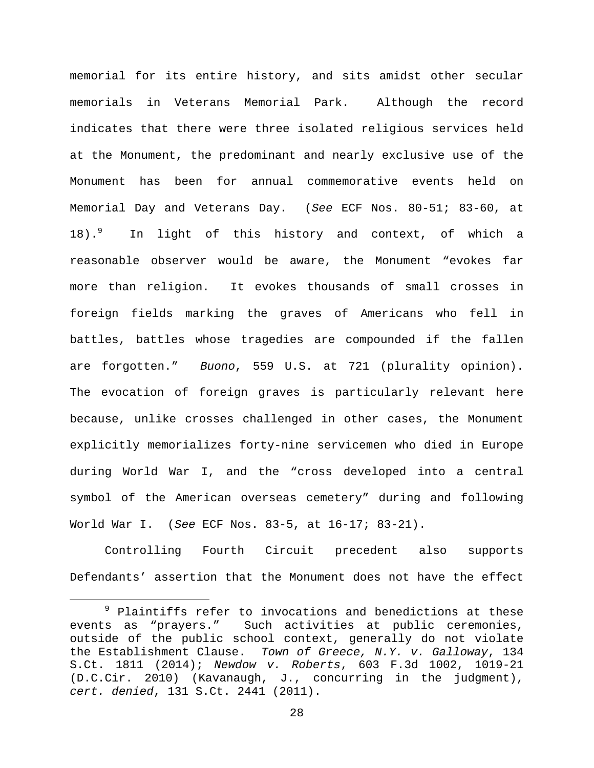memorial for its entire history, and sits amidst other secular memorials in Veterans Memorial Park. Although the record indicates that there were three isolated religious services held at the Monument, the predominant and nearly exclusive use of the Monument has been for annual commemorative events held on Memorial Day and Veterans Day. (See ECF Nos. 80-51; 83-60, at 18).<sup>9</sup> In light of this history and context, of which a reasonable observer would be aware, the Monument "evokes far more than religion. It evokes thousands of small crosses in foreign fields marking the graves of Americans who fell in battles, battles whose tragedies are compounded if the fallen are forgotten." Buono, 559 U.S. at 721 (plurality opinion). The evocation of foreign graves is particularly relevant here because, unlike crosses challenged in other cases, the Monument explicitly memorializes forty-nine servicemen who died in Europe during World War I, and the "cross developed into a central symbol of the American overseas cemetery" during and following World War I. (See ECF Nos. 83-5, at 16-17; 83-21).

Controlling Fourth Circuit precedent also supports Defendants' assertion that the Monument does not have the effect

÷,

 $9$  Plaintiffs refer to invocations and benedictions at these events as "prayers." Such activities at public ceremonies, outside of the public school context, generally do not violate the Establishment Clause. Town of Greece, N.Y. v. Galloway, 134 S.Ct. 1811 (2014); Newdow v. Roberts, 603 F.3d 1002, 1019-21 (D.C.Cir. 2010) (Kavanaugh, J., concurring in the judgment), cert. denied, 131 S.Ct. 2441 (2011).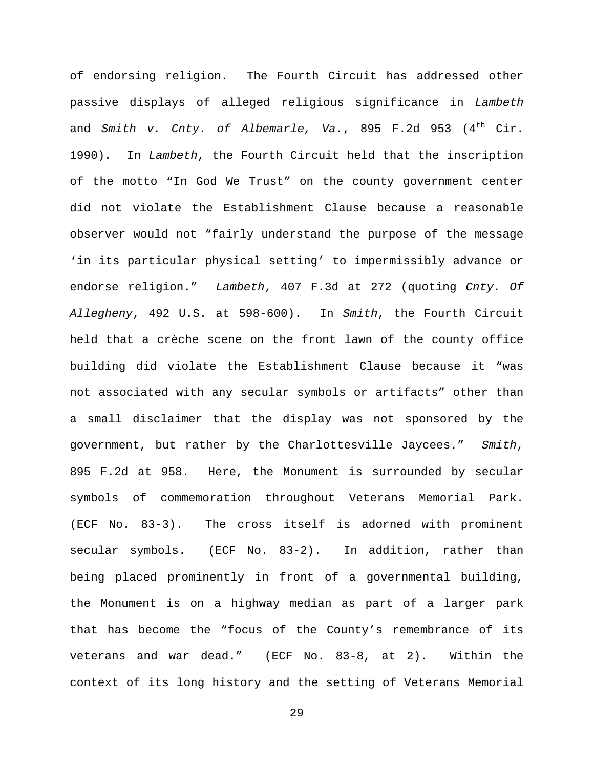of endorsing religion. The Fourth Circuit has addressed other passive displays of alleged religious significance in Lambeth and Smith v. Cnty. of Albemarle, Va., 895 F.2d 953  $(4<sup>th</sup>$  Cir. 1990). In Lambeth, the Fourth Circuit held that the inscription of the motto "In God We Trust" on the county government center did not violate the Establishment Clause because a reasonable observer would not "fairly understand the purpose of the message 'in its particular physical setting' to impermissibly advance or endorse religion." Lambeth, 407 F.3d at 272 (quoting Cnty. Of Allegheny, 492 U.S. at 598-600). In Smith, the Fourth Circuit held that a crèche scene on the front lawn of the county office building did violate the Establishment Clause because it "was not associated with any secular symbols or artifacts" other than a small disclaimer that the display was not sponsored by the government, but rather by the Charlottesville Jaycees." Smith, 895 F.2d at 958. Here, the Monument is surrounded by secular symbols of commemoration throughout Veterans Memorial Park. (ECF No. 83-3). The cross itself is adorned with prominent secular symbols. (ECF No. 83-2). In addition, rather than being placed prominently in front of a governmental building, the Monument is on a highway median as part of a larger park that has become the "focus of the County's remembrance of its veterans and war dead." (ECF No. 83-8, at 2). Within the context of its long history and the setting of Veterans Memorial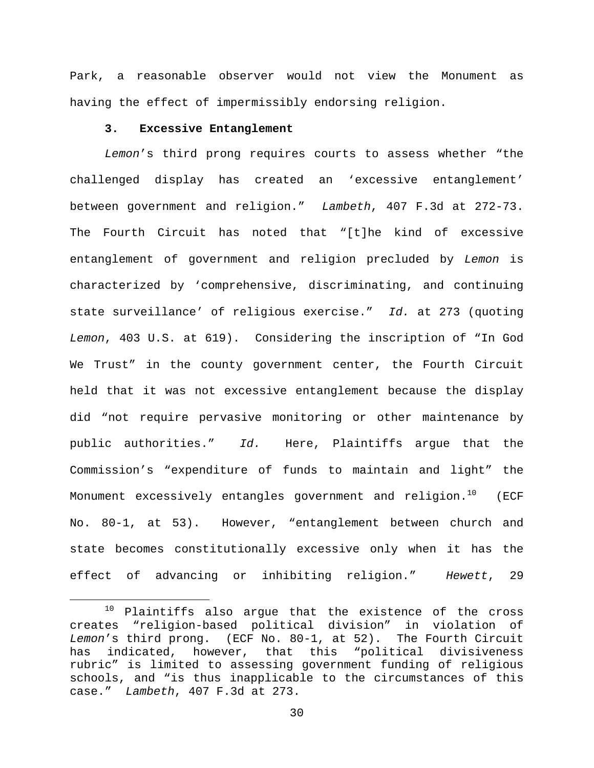Park, a reasonable observer would not view the Monument as having the effect of impermissibly endorsing religion.

# **3. Excessive Entanglement**

Lemon's third prong requires courts to assess whether "the challenged display has created an 'excessive entanglement' between government and religion." Lambeth, 407 F.3d at 272-73. The Fourth Circuit has noted that "[t]he kind of excessive entanglement of government and religion precluded by Lemon is characterized by 'comprehensive, discriminating, and continuing state surveillance' of religious exercise." Id. at 273 (quoting Lemon, 403 U.S. at 619). Considering the inscription of "In God We Trust" in the county government center, the Fourth Circuit held that it was not excessive entanglement because the display did "not require pervasive monitoring or other maintenance by public authorities." Id. Here, Plaintiffs argue that the Commission's "expenditure of funds to maintain and light" the Monument excessively entangles government and religion.<sup>10</sup> (ECF No. 80-1, at 53). However, "entanglement between church and state becomes constitutionally excessive only when it has the effect of advancing or inhibiting religion." Hewett, 29

 $10$  Plaintiffs also argue that the existence of the cross creates "religion-based political division" in violation of Lemon's third prong. (ECF No. 80-1, at 52). The Fourth Circuit has indicated, however, that this "political divisiveness rubric" is limited to assessing government funding of religious schools, and "is thus inapplicable to the circumstances of this case." Lambeth, 407 F.3d at 273.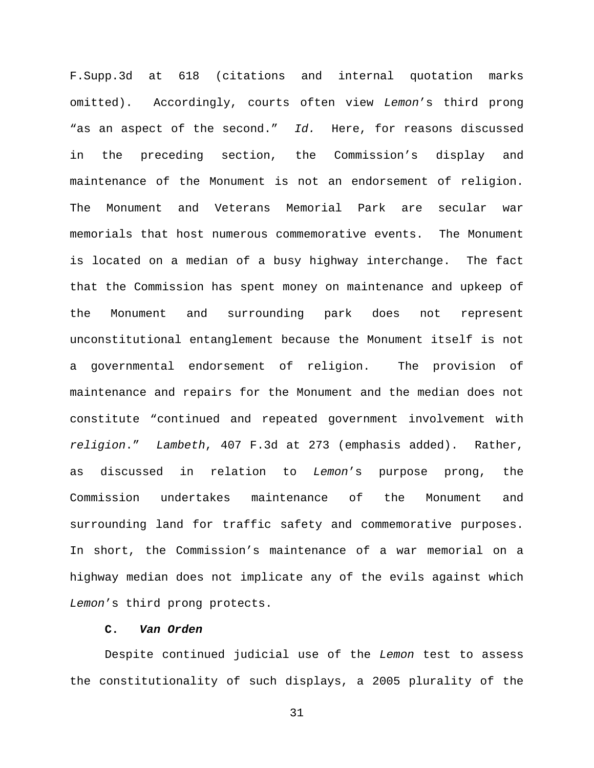F.Supp.3d at 618 (citations and internal quotation marks omitted). Accordingly, courts often view Lemon's third prong "as an aspect of the second." Id. Here, for reasons discussed in the preceding section, the Commission's display and maintenance of the Monument is not an endorsement of religion. The Monument and Veterans Memorial Park are secular war memorials that host numerous commemorative events. The Monument is located on a median of a busy highway interchange. The fact that the Commission has spent money on maintenance and upkeep of the Monument and surrounding park does not represent unconstitutional entanglement because the Monument itself is not a governmental endorsement of religion. The provision of maintenance and repairs for the Monument and the median does not constitute "continued and repeated government involvement with religion." Lambeth, 407 F.3d at 273 (emphasis added). Rather, as discussed in relation to Lemon's purpose prong, the Commission undertakes maintenance of the Monument and surrounding land for traffic safety and commemorative purposes. In short, the Commission's maintenance of a war memorial on a highway median does not implicate any of the evils against which Lemon's third prong protects.

# **C. Van Orden**

Despite continued judicial use of the Lemon test to assess the constitutionality of such displays, a 2005 plurality of the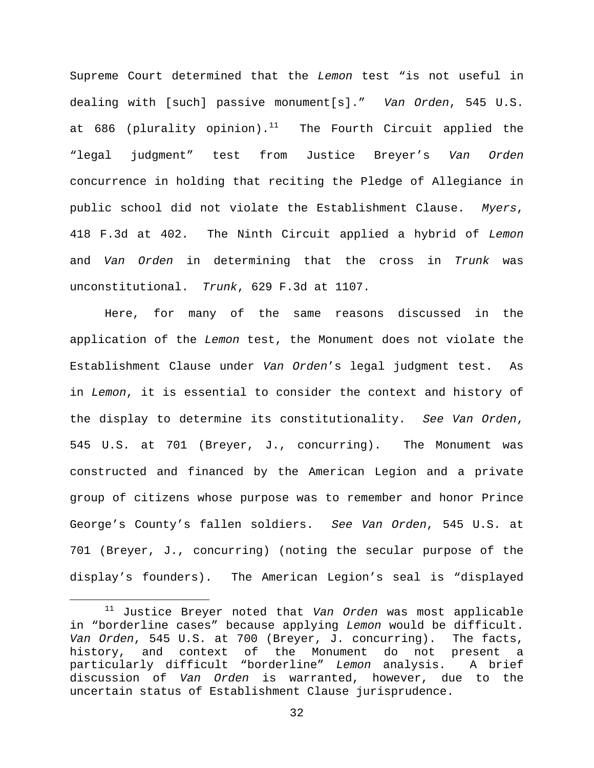Supreme Court determined that the Lemon test "is not useful in dealing with [such] passive monument[s]." Van Orden, 545 U.S. at 686 (plurality opinion).<sup>11</sup> The Fourth Circuit applied the "legal judgment" test from Justice Breyer's Van Orden concurrence in holding that reciting the Pledge of Allegiance in public school did not violate the Establishment Clause. Myers, 418 F.3d at 402. The Ninth Circuit applied a hybrid of Lemon and Van Orden in determining that the cross in Trunk was unconstitutional. Trunk, 629 F.3d at 1107.

Here, for many of the same reasons discussed in the application of the Lemon test, the Monument does not violate the Establishment Clause under Van Orden's legal judgment test. As in Lemon, it is essential to consider the context and history of the display to determine its constitutionality. See Van Orden, 545 U.S. at 701 (Breyer, J., concurring). The Monument was constructed and financed by the American Legion and a private group of citizens whose purpose was to remember and honor Prince George's County's fallen soldiers. See Van Orden, 545 U.S. at 701 (Breyer, J., concurring) (noting the secular purpose of the display's founders). The American Legion's seal is "displayed

 $11$  Justice Breyer noted that Van Orden was most applicable in "borderline cases" because applying Lemon would be difficult. Van Orden, 545 U.S. at 700 (Breyer, J. concurring). The facts, history, and context of the Monument do not present a particularly difficult "borderline" Lemon analysis. A brief discussion of Van Orden is warranted, however, due to the uncertain status of Establishment Clause jurisprudence.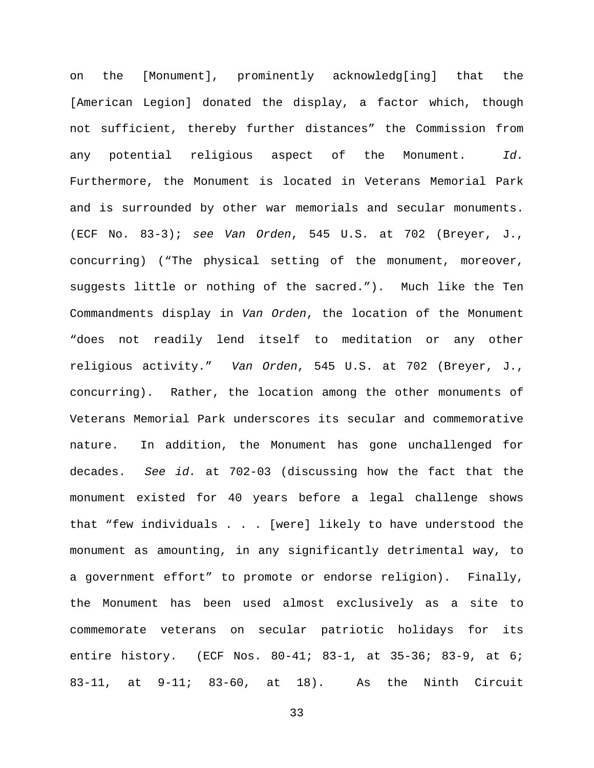on the [Monument], prominently acknowledg[ing] that the [American Legion] donated the display, a factor which, though not sufficient, thereby further distances" the Commission from any potential religious aspect of the Monument. Id. Furthermore, the Monument is located in Veterans Memorial Park and is surrounded by other war memorials and secular monuments. (ECF No. 83-3); see Van Orden, 545 U.S. at 702 (Breyer, J., concurring) ("The physical setting of the monument, moreover, suggests little or nothing of the sacred."). Much like the Ten Commandments display in Van Orden, the location of the Monument "does not readily lend itself to meditation or any other religious activity." Van Orden, 545 U.S. at 702 (Breyer, J., concurring). Rather, the location among the other monuments of Veterans Memorial Park underscores its secular and commemorative nature. In addition, the Monument has gone unchallenged for decades. See id. at 702-03 (discussing how the fact that the monument existed for 40 years before a legal challenge shows that "few individuals . . . [were] likely to have understood the monument as amounting, in any significantly detrimental way, to a government effort" to promote or endorse religion). Finally, the Monument has been used almost exclusively as a site to commemorate veterans on secular patriotic holidays for its entire history. (ECF Nos. 80-41; 83-1, at 35-36; 83-9, at 6; 83-11, at 9-11; 83-60, at 18). As the Ninth Circuit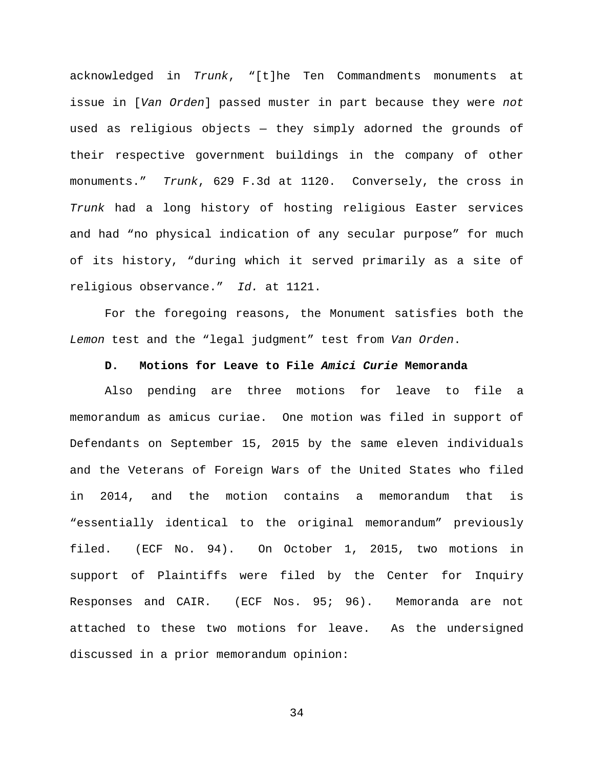acknowledged in Trunk, "[t]he Ten Commandments monuments at issue in [Van Orden] passed muster in part because they were not used as religious objects — they simply adorned the grounds of their respective government buildings in the company of other monuments." Trunk, 629 F.3d at 1120. Conversely, the cross in Trunk had a long history of hosting religious Easter services and had "no physical indication of any secular purpose" for much of its history, "during which it served primarily as a site of religious observance." Id. at 1121.

For the foregoing reasons, the Monument satisfies both the Lemon test and the "legal judgment" test from Van Orden.

#### **D. Motions for Leave to File Amici Curie Memoranda**

Also pending are three motions for leave to file a memorandum as amicus curiae. One motion was filed in support of Defendants on September 15, 2015 by the same eleven individuals and the Veterans of Foreign Wars of the United States who filed in 2014, and the motion contains a memorandum that is "essentially identical to the original memorandum" previously filed. (ECF No. 94). On October 1, 2015, two motions in support of Plaintiffs were filed by the Center for Inquiry Responses and CAIR. (ECF Nos. 95; 96). Memoranda are not attached to these two motions for leave. As the undersigned discussed in a prior memorandum opinion: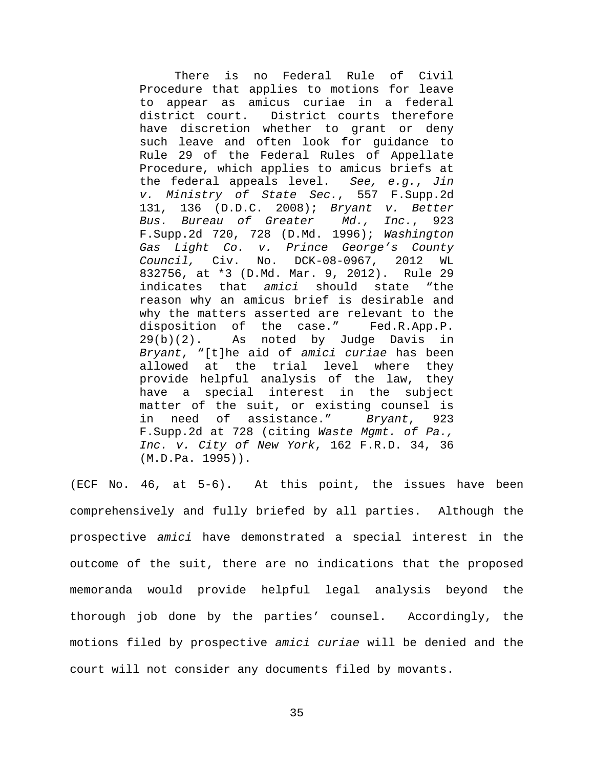There is no Federal Rule of Civil Procedure that applies to motions for leave to appear as amicus curiae in a federal district court. District courts therefore have discretion whether to grant or deny such leave and often look for guidance to Rule 29 of the Federal Rules of Appellate Procedure, which applies to amicus briefs at the federal appeals level. See, e.g., Jin v. Ministry of State Sec., 557 F.Supp.2d 131, 136 (D.D.C. 2008); Bryant v. Better Bus. Bureau of Greater Md., Inc., 923 F.Supp.2d 720, 728 (D.Md. 1996); Washington Gas Light Co. v. Prince George's County Council, Civ. No. DCK-08-0967, 2012 WL 832756, at \*3 (D.Md. Mar. 9, 2012). Rule 29 indicates that amici should state "the reason why an amicus brief is desirable and why the matters asserted are relevant to the disposition of the case." Fed.R.App.P. 29(b)(2). As noted by Judge Davis in Bryant, "[t]he aid of amici curiae has been allowed at the trial level where they provide helpful analysis of the law, they have a special interest in the subject matter of the suit, or existing counsel is in need of assistance." Bryant, 923 F.Supp.2d at 728 (citing Waste Mgmt. of Pa., Inc. v. City of New York, 162 F.R.D. 34, 36 (M.D.Pa. 1995)).

(ECF No. 46, at 5-6). At this point, the issues have been comprehensively and fully briefed by all parties. Although the prospective amici have demonstrated a special interest in the outcome of the suit, there are no indications that the proposed memoranda would provide helpful legal analysis beyond the thorough job done by the parties' counsel. Accordingly, the motions filed by prospective amici curiae will be denied and the court will not consider any documents filed by movants.